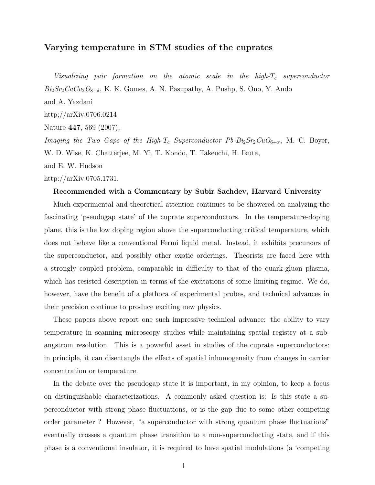## Varying temperature in STM studies of the cuprates

Visualizing pair formation on the atomic scale in the high- $T_c$  superconductor  $Bi<sub>2</sub>Sr<sub>2</sub>CaCu<sub>2</sub>O<sub>8+\delta</sub>$ , K. K. Gomes, A. N. Pasupathy, A. Pushp, S. Ono, Y. Ando and A. Yazdani http;//arXiv:0706.0214 Nature 447, 569 (2007). *Imaging the Two Gaps of the High-T<sub>c</sub>* Superconductor  $Pb - Bi_2Sr_2CuO_{6+x}$ , M. C. Boyer, W. D. Wise, K. Chatterjee, M. Yi, T. Kondo, T. Takeuchi, H. Ikuta, and E. W. Hudson

http://arXiv:0705.1731.

## Recommended with a Commentary by Subir Sachdev, Harvard University

Much experimental and theoretical attention continues to be showered on analyzing the fascinating 'pseudogap state' of the cuprate superconductors. In the temperature-doping plane, this is the low doping region above the superconducting critical temperature, which does not behave like a conventional Fermi liquid metal. Instead, it exhibits precursors of the superconductor, and possibly other exotic orderings. Theorists are faced here with a strongly coupled problem, comparable in difficulty to that of the quark-gluon plasma, which has resisted description in terms of the excitations of some limiting regime. We do, however, have the benefit of a plethora of experimental probes, and technical advances in their precision continue to produce exciting new physics.

These papers above report one such impressive technical advance: the ability to vary temperature in scanning microscopy studies while maintaining spatial registry at a subangstrom resolution. This is a powerful asset in studies of the cuprate superconductors: in principle, it can disentangle the effects of spatial inhomogeneity from changes in carrier concentration or temperature.

In the debate over the pseudogap state it is important, in my opinion, to keep a focus on distinguishable characterizations. A commonly asked question is: Is this state a superconductor with strong phase fluctuations, or is the gap due to some other competing order parameter ? However, "a superconductor with strong quantum phase fluctuations" eventually crosses a quantum phase transition to a non-superconducting state, and if this phase is a conventional insulator, it is required to have spatial modulations (a 'competing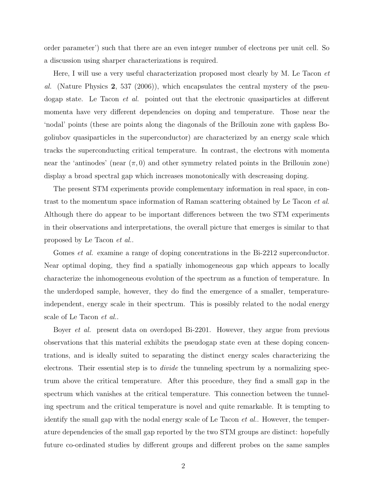order parameter') such that there are an even integer number of electrons per unit cell. So a discussion using sharper characterizations is required.

Here, I will use a very useful characterization proposed most clearly by M. Le Tacon *et* al. (Nature Physics 2, 537 (2006)), which encapsulates the central mystery of the pseudogap state. Le Tacon *et al.* pointed out that the electronic quasiparticles at different momenta have very different dependencies on doping and temperature. Those near the 'nodal' points (these are points along the diagonals of the Brillouin zone with gapless Bogoliubov quasiparticles in the superconductor) are characterized by an energy scale which tracks the superconducting critical temperature. In contrast, the electrons with momenta near the 'antinodes' (near  $(\pi, 0)$  and other symmetry related points in the Brillouin zone) display a broad spectral gap which increases monotonically with descreasing doping.

The present STM experiments provide complementary information in real space, in contrast to the momentum space information of Raman scattering obtained by Le Tacon et al. Although there do appear to be important differences between the two STM experiments in their observations and interpretations, the overall picture that emerges is similar to that proposed by Le Tacon et al..

Gomes *et al.* examine a range of doping concentrations in the Bi-2212 superconductor. Near optimal doping, they find a spatially inhomogeneous gap which appears to locally characterize the inhomogeneous evolution of the spectrum as a function of temperature. In the underdoped sample, however, they do find the emergence of a smaller, temperatureindependent, energy scale in their spectrum. This is possibly related to the nodal energy scale of Le Tacon et al..

Boyer et al. present data on overdoped Bi-2201. However, they argue from previous observations that this material exhibits the pseudogap state even at these doping concentrations, and is ideally suited to separating the distinct energy scales characterizing the electrons. Their essential step is to *divide* the tunneling spectrum by a normalizing spectrum above the critical temperature. After this procedure, they find a small gap in the spectrum which vanishes at the critical temperature. This connection between the tunneling spectrum and the critical temperature is novel and quite remarkable. It is tempting to identify the small gap with the nodal energy scale of Le Tacon et al.. However, the temperature dependencies of the small gap reported by the two STM groups are distinct: hopefully future co-ordinated studies by different groups and different probes on the same samples